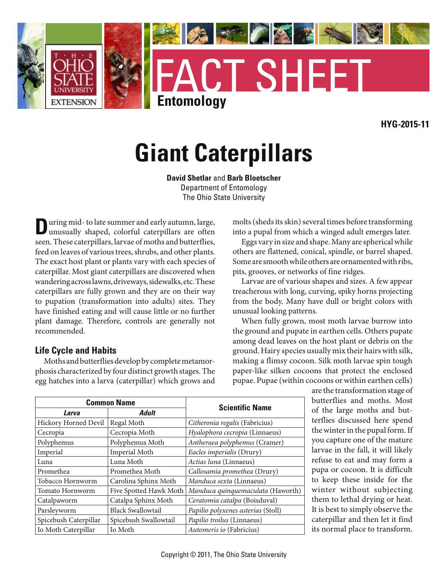

**HYG-2015-11**

# **Giant Caterpillars**

**David Shetlar** and **Barb Bloetscher** Department of Entomology The Ohio State University

**D**uring mid- to late summer and early autumn, large, unusually shaped, colorful caterpillars are often seen. These caterpillars, larvae of moths and butterflies, feed on leaves of various trees, shrubs, and other plants. The exact host plant or plants vary with each species of caterpillar. Most giant caterpillars are discovered when wandering across lawns, driveways, sidewalks, etc. These caterpillars are fully grown and they are on their way to pupation (transformation into adults) sites. They have finished eating and will cause little or no further plant damage. Therefore, controls are generally not recommended.

#### **Life Cycle and Habits**

Moths and butterflies develop by complete metamorphosis characterized by four distinct growth stages. The egg hatches into a larva (caterpillar) which grows and molts (sheds its skin) several times before transforming into a pupal from which a winged adult emerges later.

Eggs vary in size and shape. Many are spherical while others are flattened, conical, spindle, or barrel shaped. Some are smooth while others are ornamented with ribs, pits, grooves, or networks of fine ridges.

Larvae are of various shapes and sizes. A few appear treacherous with long, curving, spiky horns projecting from the body. Many have dull or bright colors with unusual looking patterns.

When fully grown, most moth larvae burrow into the ground and pupate in earthen cells. Others pupate among dead leaves on the host plant or debris on the ground. Hairy species usually mix their hairs with silk, making a flimsy cocoon. Silk moth larvae spin tough paper-like silken cocoons that protect the enclosed pupae. Pupae (within cocoons or within earthen cells)

are the transformation stage of butterflies and moths. Most of the large moths and butterflies discussed here spend the winter in the pupal form. If you capture one of the mature larvae in the fall, it will likely refuse to eat and may form a pupa or cocoon. It is difficult to keep these inside for the winter without subjecting them to lethal drying or heat. It is best to simply observe the caterpillar and then let it find its normal place to transform.

| <b>Common Name</b>    |                          | <b>Scientific Name</b>             |
|-----------------------|--------------------------|------------------------------------|
| Larva                 | <b>Adult</b>             |                                    |
| Hickory Horned Devil  | Regal Moth               | Citheronia regalis (Fabricius)     |
| Cecropia              | Cecropia Moth            | Hyalophora cecropia (Linnaeus)     |
| Polyphemus            | Polyphemus Moth          | Antheraea polyphemus (Cramer)      |
| Imperial              | Imperial Moth            | Eacles imperialis (Drury)          |
| Luna                  | Luna Moth                | Actias luna (Linnaeus)             |
| Promethea             | Promethea Moth           | Callosamia promethea (Drury)       |
| Tobacco Hornworm      | Carolina Sphinx Moth     | Manduca sexta (Linnaeus)           |
| Tomato Hornworm       | Five Spotted Hawk Moth   | Manduca quinquemaculata (Haworth)  |
| Catalpaworm           | Catalpa Sphinx Moth      | Ceratomia catalpa (Boisduval)      |
| Parsleyworm           | <b>Black Swallowtail</b> | Papilio polyxenes asterias (Stoll) |
| Spicebush Caterpillar | Spicebush Swallowtail    | Papilio troilus (Linnaeus)         |
| Io Moth Caterpillar   | Io Moth                  | Automeris io (Fabricius)           |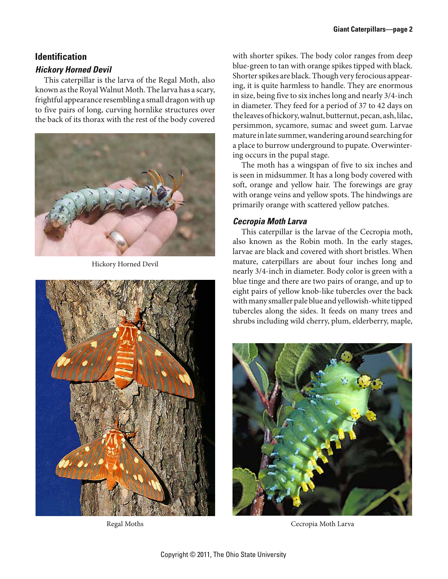# **Identification**

# *Hickory Horned Devil*

This caterpillar is the larva of the Regal Moth, also known as the Royal Walnut Moth. The larva has a scary, frightful appearance resembling a small dragon with up to five pairs of long, curving hornlike structures over the back of its thorax with the rest of the body covered



Hickory Horned Devil



with shorter spikes. The body color ranges from deep blue-green to tan with orange spikes tipped with black. Shorter spikes are black. Though very ferocious appearing, it is quite harmless to handle. They are enormous in size, being five to six inches long and nearly 3/4-inch in diameter. They feed for a period of 37 to 42 days on the leaves of hickory, walnut, butternut, pecan, ash, lilac, persimmon, sycamore, sumac and sweet gum. Larvae mature in late summer, wandering around searching for a place to burrow underground to pupate. Overwintering occurs in the pupal stage.

The moth has a wingspan of five to six inches and is seen in midsummer. It has a long body covered with soft, orange and yellow hair. The forewings are gray with orange veins and yellow spots. The hindwings are primarily orange with scattered yellow patches.

# *Cecropia Moth Larva*

This caterpillar is the larvae of the Cecropia moth, also known as the Robin moth. In the early stages, larvae are black and covered with short bristles. When mature, caterpillars are about four inches long and nearly 3/4-inch in diameter. Body color is green with a blue tinge and there are two pairs of orange, and up to eight pairs of yellow knob-like tubercles over the back with many smaller pale blue and yellowish-white tipped tubercles along the sides. It feeds on many trees and shrubs including wild cherry, plum, elderberry, maple,



Regal Moths Cecropia Moth Larva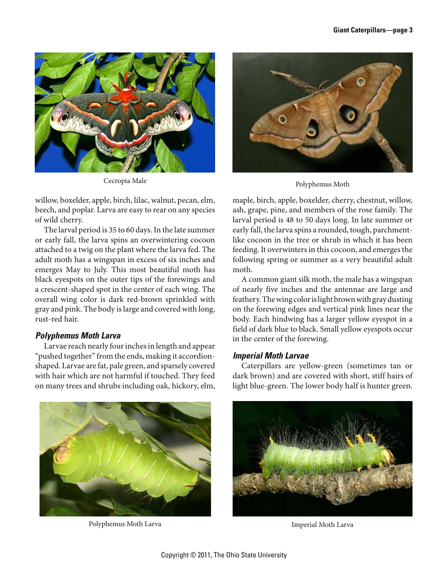

willow, boxelder, apple, birch, lilac, walnut, pecan, elm, beech, and poplar. Larva are easy to rear on any species of wild cherry.

The larval period is 35 to 60 days. In the late summer or early fall, the larva spins an overwintering cocoon attached to a twig on the plant where the larva fed. The adult moth has a wingspan in excess of six inches and emerges May to July. This most beautiful moth has black eyespots on the outer tips of the forewings and a crescent-shaped spot in the center of each wing. The overall wing color is dark red-brown sprinkled with gray and pink. The body is large and covered with long, rust-red hair.

#### *Polyphemus Moth Larva*

Larvae reach nearly four inches in length and appear "pushed together" from the ends, making it accordionshaped. Larvae are fat, pale green, and sparsely covered with hair which are not harmful if touched. They feed on many trees and shrubs including oak, hickory, elm,



Cecropia Male Polyphemus Moth

maple, birch, apple, boxelder, cherry, chestnut, willow, ash, grape, pine, and members of the rose family. The larval period is 48 to 50 days long. In late summer or early fall, the larva spins a rounded, tough, parchmentlike cocoon in the tree or shrub in which it has been feeding. It overwinters in this cocoon, and emerges the following spring or summer as a very beautiful adult moth.

A common giant silk moth, the male has a wingspan of nearly five inches and the antennae are large and feathery. The wing color is light brown with gray dusting on the forewing edges and vertical pink lines near the body. Each hindwing has a larger yellow eyespot in a field of dark blue to black. Small yellow eyespots occur in the center of the forewing.

#### *Imperial Moth Larvae*

Caterpillars are yellow-green (sometimes tan or dark brown) and are covered with short, stiff hairs of light blue-green. The lower body half is hunter green.



Polyphemus Moth Larva **Imperial Moth Larva** 

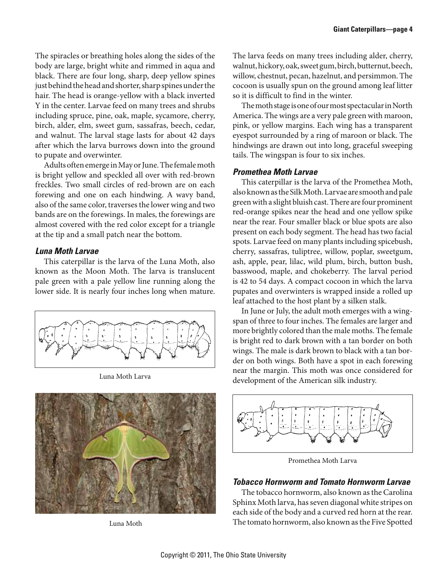The spiracles or breathing holes along the sides of the body are large, bright white and rimmed in aqua and black. There are four long, sharp, deep yellow spines just behind the head and shorter, sharp spines under the hair. The head is orange-yellow with a black inverted Y in the center. Larvae feed on many trees and shrubs including spruce, pine, oak, maple, sycamore, cherry, birch, alder, elm, sweet gum, sassafras, beech, cedar, and walnut. The larval stage lasts for about 42 days after which the larva burrows down into the ground to pupate and overwinter.

Adults often emerge in May or June. The female moth is bright yellow and speckled all over with red-brown freckles. Two small circles of red-brown are on each forewing and one on each hindwing. A wavy band, also of the same color, traverses the lower wing and two bands are on the forewings. In males, the forewings are almost covered with the red color except for a triangle at the tip and a small patch near the bottom.

#### *Luna Moth Larvae*

This caterpillar is the larva of the Luna Moth, also known as the Moon Moth. The larva is translucent pale green with a pale yellow line running along the lower side. It is nearly four inches long when mature.



Luna Moth Larva



Luna Moth

The larva feeds on many trees including alder, cherry, walnut, hickory, oak, sweet gum, birch, butternut, beech, willow, chestnut, pecan, hazelnut, and persimmon. The cocoon is usually spun on the ground among leaf litter so it is difficult to find in the winter.

The moth stage is one of our most spectacular in North America. The wings are a very pale green with maroon, pink, or yellow margins. Each wing has a transparent eyespot surrounded by a ring of maroon or black. The hindwings are drawn out into long, graceful sweeping tails. The wingspan is four to six inches.

#### *Promethea Moth Larvae*

This caterpillar is the larva of the Promethea Moth, also known as the Silk Moth. Larvae are smooth and pale green with a slight bluish cast. There are four prominent red-orange spikes near the head and one yellow spike near the rear. Four smaller black or blue spots are also present on each body segment. The head has two facial spots. Larvae feed on many plants including spicebush, cherry, sassafras, tuliptree, willow, poplar, sweetgum, ash, apple, pear, lilac, wild plum, birch, button bush, basswood, maple, and chokeberry. The larval period is 42 to 54 days. A compact cocoon in which the larva pupates and overwinters is wrapped inside a rolled up leaf attached to the host plant by a silken stalk.

In June or July, the adult moth emerges with a wingspan of three to four inches. The females are larger and more brightly colored than the male moths. The female is bright red to dark brown with a tan border on both wings. The male is dark brown to black with a tan border on both wings. Both have a spot in each forewing near the margin. This moth was once considered for development of the American silk industry.



Promethea Moth Larva

# *Tobacco Hornworm and Tomato Hornworm Larvae*

The tobacco hornworm, also known as the Carolina Sphinx Moth larva, has seven diagonal white stripes on each side of the body and a curved red horn at the rear. The tomato hornworm, also known as the Five Spotted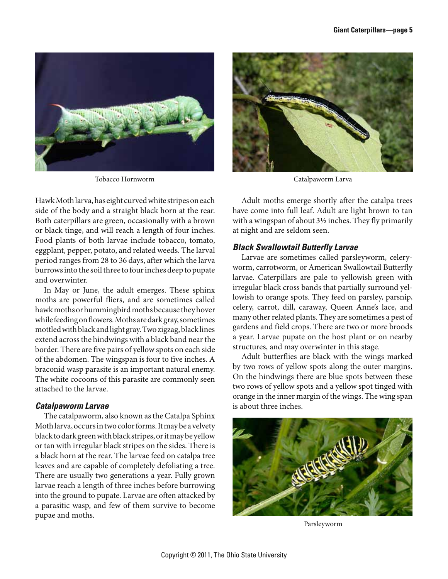

Hawk Moth larva, has eight curved white stripes on each side of the body and a straight black horn at the rear. Both caterpillars are green, occasionally with a brown or black tinge, and will reach a length of four inches. Food plants of both larvae include tobacco, tomato, eggplant, pepper, potato, and related weeds. The larval period ranges from 28 to 36 days, after which the larva burrows into the soil three to four inches deep to pupate and overwinter.

In May or June, the adult emerges. These sphinx moths are powerful fliers, and are sometimes called hawk moths or hummingbird moths because they hover while feeding on flowers. Moths are dark gray, sometimes mottled with black and light gray. Two zigzag, black lines extend across the hindwings with a black band near the border. There are five pairs of yellow spots on each side of the abdomen. The wingspan is four to five inches. A braconid wasp parasite is an important natural enemy. The white cocoons of this parasite are commonly seen attached to the larvae.

#### *Catalpaworm Larvae*

The catalpaworm, also known as the Catalpa Sphinx Moth larva, occurs in two color forms. It may be a velvety black to dark green with black stripes, or it may be yellow or tan with irregular black stripes on the sides. There is a black horn at the rear. The larvae feed on catalpa tree leaves and are capable of completely defoliating a tree. There are usually two generations a year. Fully grown larvae reach a length of three inches before burrowing into the ground to pupate. Larvae are often attacked by a parasitic wasp, and few of them survive to become pupae and moths.



Tobacco Hornworm Catalpaworm Larva

Adult moths emerge shortly after the catalpa trees have come into full leaf. Adult are light brown to tan with a wingspan of about 3½ inches. They fly primarily at night and are seldom seen.

# *Black Swallowtail Butterfly Larvae*

Larvae are sometimes called parsleyworm, celeryworm, carrotworm, or American Swallowtail Butterfly larvae. Caterpillars are pale to yellowish green with irregular black cross bands that partially surround yellowish to orange spots. They feed on parsley, parsnip, celery, carrot, dill, caraway, Queen Anne's lace, and many other related plants. They are sometimes a pest of gardens and field crops. There are two or more broods a year. Larvae pupate on the host plant or on nearby structures, and may overwinter in this stage.

Adult butterflies are black with the wings marked by two rows of yellow spots along the outer margins. On the hindwings there are blue spots between these two rows of yellow spots and a yellow spot tinged with orange in the inner margin of the wings. The wing span is about three inches.



Parsleyworm